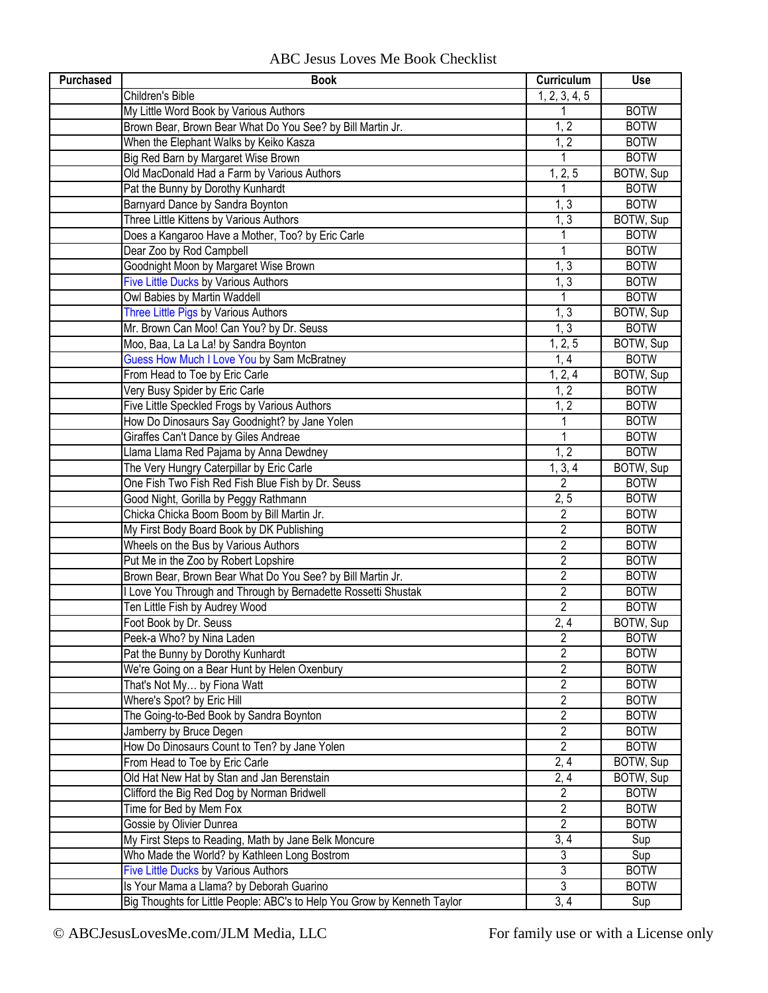## ABC Jesus Loves Me Book Checklist

| <b>Purchased</b> | <b>Book</b>                                                              | Curriculum              | Use         |
|------------------|--------------------------------------------------------------------------|-------------------------|-------------|
|                  | Children's Bible                                                         | 1, 2, 3, 4, 5           |             |
|                  | My Little Word Book by Various Authors                                   |                         | <b>BOTW</b> |
|                  | Brown Bear, Brown Bear What Do You See? by Bill Martin Jr.               | 1, 2                    | <b>BOTW</b> |
|                  | When the Elephant Walks by Keiko Kasza                                   | 1, 2                    | <b>BOTW</b> |
|                  | Big Red Barn by Margaret Wise Brown                                      | 1                       | <b>BOTW</b> |
|                  | Old MacDonald Had a Farm by Various Authors                              | 1, 2, 5                 | BOTW, Sup   |
|                  | Pat the Bunny by Dorothy Kunhardt                                        | 1                       | <b>BOTW</b> |
|                  | Barnyard Dance by Sandra Boynton                                         | 1, 3                    | <b>BOTW</b> |
|                  | Three Little Kittens by Various Authors                                  | 1, 3                    | BOTW, Sup   |
|                  | Does a Kangaroo Have a Mother, Too? by Eric Carle                        |                         | <b>BOTW</b> |
|                  | Dear Zoo by Rod Campbell                                                 | 1                       | <b>BOTW</b> |
|                  | Goodnight Moon by Margaret Wise Brown                                    | 1, 3                    | <b>BOTW</b> |
|                  | Five Little Ducks by Various Authors                                     | 1, 3                    | <b>BOTW</b> |
|                  | Owl Babies by Martin Waddell                                             | 1                       | <b>BOTW</b> |
|                  | Three Little Pigs by Various Authors                                     | 1, 3                    | BOTW, Sup   |
|                  | Mr. Brown Can Moo! Can You? by Dr. Seuss                                 | 1, 3                    | <b>BOTW</b> |
|                  | Moo, Baa, La La La! by Sandra Boynton                                    | 1, 2, 5                 | BOTW, Sup   |
|                  | Guess How Much I Love You by Sam McBratney                               | 1, 4                    | <b>BOTW</b> |
|                  | From Head to Toe by Eric Carle                                           | 1, 2, 4                 | BOTW, Sup   |
|                  | Very Busy Spider by Eric Carle                                           | 1, 2                    | <b>BOTW</b> |
|                  | Five Little Speckled Frogs by Various Authors                            | 1, 2                    | <b>BOTW</b> |
|                  | How Do Dinosaurs Say Goodnight? by Jane Yolen                            | 1                       | <b>BOTW</b> |
|                  | Giraffes Can't Dance by Giles Andreae                                    | $\mathbf{1}$            | <b>BOTW</b> |
|                  | Llama Llama Red Pajama by Anna Dewdney                                   | 1, 2                    | <b>BOTW</b> |
|                  | The Very Hungry Caterpillar by Eric Carle                                | 1, 3, 4                 | BOTW, Sup   |
|                  | One Fish Two Fish Red Fish Blue Fish by Dr. Seuss                        | 2                       | <b>BOTW</b> |
|                  | Good Night, Gorilla by Peggy Rathmann                                    | 2, 5                    | <b>BOTW</b> |
|                  | Chicka Chicka Boom Boom by Bill Martin Jr.                               | $\overline{c}$          | <b>BOTW</b> |
|                  | My First Body Board Book by DK Publishing                                | $\overline{2}$          | <b>BOTW</b> |
|                  | Wheels on the Bus by Various Authors                                     | $\overline{c}$          | <b>BOTW</b> |
|                  | Put Me in the Zoo by Robert Lopshire                                     | $\overline{2}$          | <b>BOTW</b> |
|                  | Brown Bear, Brown Bear What Do You See? by Bill Martin Jr.               | $\overline{2}$          | <b>BOTW</b> |
|                  | I Love You Through and Through by Bernadette Rossetti Shustak            | $\overline{2}$          | <b>BOTW</b> |
|                  | Ten Little Fish by Audrey Wood                                           | 2                       | <b>BOTW</b> |
|                  | Foot Book by Dr. Seuss                                                   | 2, 4                    | BOTW, Sup   |
|                  | Peek-a Who? by Nina Laden                                                | $\overline{\mathbf{c}}$ | <b>BOTW</b> |
|                  | Pat the Bunny by Dorothy Kunhardt                                        | $\overline{2}$          | <b>BOTW</b> |
|                  | We're Going on a Bear Hunt by Helen Oxenbury                             | $\overline{2}$          | <b>BOTW</b> |
|                  | That's Not My by Fiona Watt                                              | $\overline{2}$          | <b>BOTW</b> |
|                  | Where's Spot? by Eric Hill                                               | $\overline{2}$          | <b>BOTW</b> |
|                  | The Going-to-Bed Book by Sandra Boynton                                  | $\overline{2}$          | <b>BOTW</b> |
|                  | Jamberry by Bruce Degen                                                  | $\overline{2}$          | <b>BOTW</b> |
|                  | How Do Dinosaurs Count to Ten? by Jane Yolen                             | $\overline{2}$          | <b>BOTW</b> |
|                  | From Head to Toe by Eric Carle                                           | 2, 4                    | BOTW, Sup   |
|                  | Old Hat New Hat by Stan and Jan Berenstain                               | 2, 4                    | BOTW, Sup   |
|                  | Clifford the Big Red Dog by Norman Bridwell                              | $\overline{c}$          | <b>BOTW</b> |
|                  | Time for Bed by Mem Fox                                                  | $\overline{2}$          | <b>BOTW</b> |
|                  | Gossie by Olivier Dunrea                                                 | $\overline{2}$          | <b>BOTW</b> |
|                  | My First Steps to Reading, Math by Jane Belk Moncure                     | 3, 4                    | Sup         |
|                  | Who Made the World? by Kathleen Long Bostrom                             | 3                       | Sup         |
|                  | Five Little Ducks by Various Authors                                     | 3                       | <b>BOTW</b> |
|                  | Is Your Mama a Llama? by Deborah Guarino                                 | 3                       | <b>BOTW</b> |
|                  | Big Thoughts for Little People: ABC's to Help You Grow by Kenneth Taylor | 3, 4                    | Sup         |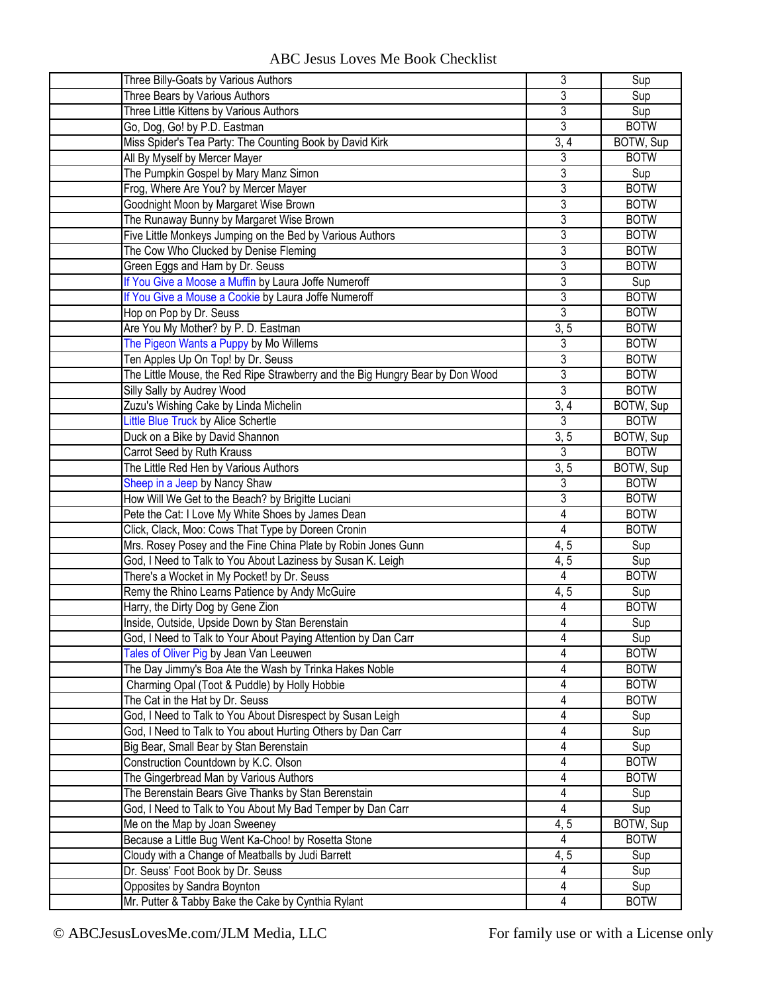|  | ABC Jesus Loves Me Book Checklist |
|--|-----------------------------------|
|--|-----------------------------------|

| Three Billy-Goats by Various Authors                                               | 3              | Sup         |
|------------------------------------------------------------------------------------|----------------|-------------|
| Three Bears by Various Authors                                                     | 3              | Sup         |
| Three Little Kittens by Various Authors                                            | 3              | Sup         |
| Go, Dog, Go! by P.D. Eastman                                                       | 3              | <b>BOTW</b> |
| Miss Spider's Tea Party: The Counting Book by David Kirk                           | 3, 4           | BOTW, Sup   |
| All By Myself by Mercer Mayer                                                      | 3              | <b>BOTW</b> |
| The Pumpkin Gospel by Mary Manz Simon                                              | 3              | Sup         |
| Frog, Where Are You? by Mercer Mayer                                               | 3              | <b>BOTW</b> |
| Goodnight Moon by Margaret Wise Brown                                              | 3              | <b>BOTW</b> |
| The Runaway Bunny by Margaret Wise Brown                                           | 3              | <b>BOTW</b> |
| Five Little Monkeys Jumping on the Bed by Various Authors                          | 3              | <b>BOTW</b> |
| The Cow Who Clucked by Denise Fleming                                              | $\overline{3}$ | <b>BOTW</b> |
| Green Eggs and Ham by Dr. Seuss                                                    | 3              | <b>BOTW</b> |
| If You Give a Moose a Muffin by Laura Joffe Numeroff                               | 3              | Sup         |
| If You Give a Mouse a Cookie by Laura Joffe Numeroff                               | 3              | <b>BOTW</b> |
| Hop on Pop by Dr. Seuss                                                            | 3              | <b>BOTW</b> |
| Are You My Mother? by P. D. Eastman                                                | 3, 5           | <b>BOTW</b> |
| The Pigeon Wants a Puppy by Mo Willems                                             | 3              | <b>BOTW</b> |
| Ten Apples Up On Top! by Dr. Seuss                                                 | 3              | <b>BOTW</b> |
| The Little Mouse, the Red Ripe Strawberry and the Big Hungry Bear by Don Wood      | 3              | <b>BOTW</b> |
| Silly Sally by Audrey Wood                                                         | $\overline{3}$ | <b>BOTW</b> |
| Zuzu's Wishing Cake by Linda Michelin                                              | 3, 4           | BOTW, Sup   |
| Little Blue Truck by Alice Schertle                                                | 3              | <b>BOTW</b> |
| Duck on a Bike by David Shannon                                                    | 3, 5           | BOTW, Sup   |
| Carrot Seed by Ruth Krauss                                                         | 3              | <b>BOTW</b> |
| The Little Red Hen by Various Authors                                              | 3, 5           | BOTW, Sup   |
|                                                                                    | 3              | <b>BOTW</b> |
| Sheep in a Jeep by Nancy Shaw<br>How Will We Get to the Beach? by Brigitte Luciani | 3              | <b>BOTW</b> |
|                                                                                    |                | <b>BOTW</b> |
| Pete the Cat: I Love My White Shoes by James Dean                                  | 4<br>4         | <b>BOTW</b> |
| Click, Clack, Moo: Cows That Type by Doreen Cronin                                 |                |             |
| Mrs. Rosey Posey and the Fine China Plate by Robin Jones Gunn                      | 4, 5           | Sup         |
| God, I Need to Talk to You About Laziness by Susan K. Leigh                        | 4, 5           | Sup         |
| There's a Wocket in My Pocket! by Dr. Seuss                                        | 4              | <b>BOTW</b> |
| Remy the Rhino Learns Patience by Andy McGuire                                     | 4, 5           | Sup         |
| Harry, the Dirty Dog by Gene Zion                                                  | 4              | <b>BOTW</b> |
| Inside, Outside, Upside Down by Stan Berenstain                                    | 4              | Sup         |
| God, I Need to Talk to Your About Paying Attention by Dan Carr                     | 4              | Sup         |
| Tales of Oliver Pig by Jean Van Leeuwen                                            | 4              | <b>BOTW</b> |
| The Day Jimmy's Boa Ate the Wash by Trinka Hakes Noble                             | 4              | <b>BOTW</b> |
| Charming Opal (Toot & Puddle) by Holly Hobbie                                      | 4              | <b>BOTW</b> |
| The Cat in the Hat by Dr. Seuss                                                    | 4              | <b>BOTW</b> |
| God, I Need to Talk to You About Disrespect by Susan Leigh                         | 4              | Sup         |
| God, I Need to Talk to You about Hurting Others by Dan Carr                        | 4              | Sup         |
| Big Bear, Small Bear by Stan Berenstain                                            | 4              | Sup         |
| Construction Countdown by K.C. Olson                                               | 4              | <b>BOTW</b> |
| The Gingerbread Man by Various Authors                                             | 4              | <b>BOTW</b> |
| The Berenstain Bears Give Thanks by Stan Berenstain                                | 4              | Sup         |
| God, I Need to Talk to You About My Bad Temper by Dan Carr                         | 4              | Sup         |
| Me on the Map by Joan Sweeney                                                      | 4,5            | BOTW, Sup   |
| Because a Little Bug Went Ka-Choo! by Rosetta Stone                                | $\overline{4}$ | <b>BOTW</b> |
| Cloudy with a Change of Meatballs by Judi Barrett                                  | 4, 5           | Sup         |
| Dr. Seuss' Foot Book by Dr. Seuss                                                  | $\overline{4}$ | Sup         |
| Opposites by Sandra Boynton                                                        | 4              | Sup         |
| Mr. Putter & Tabby Bake the Cake by Cynthia Rylant                                 | 4              | <b>BOTW</b> |
|                                                                                    |                |             |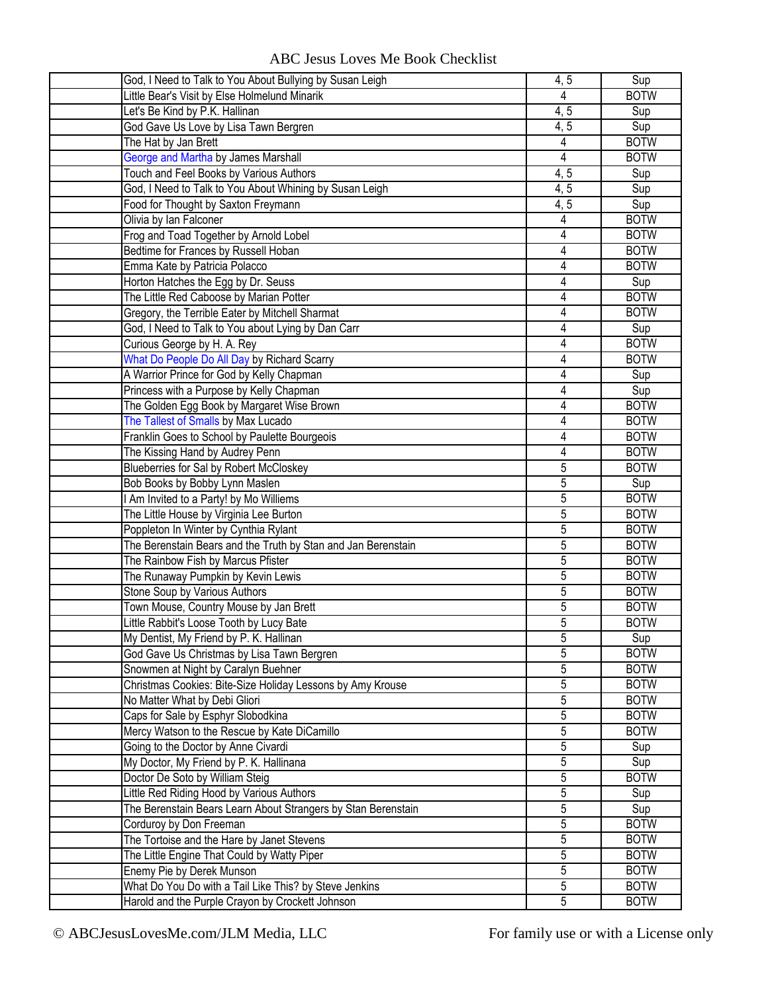|  | <b>ABC Jesus Loves Me Book Checklist</b> |
|--|------------------------------------------|
|--|------------------------------------------|

| God, I Need to Talk to You About Bullying by Susan Leigh      | 4,5            | Sup         |
|---------------------------------------------------------------|----------------|-------------|
| Little Bear's Visit by Else Holmelund Minarik                 | 4              | <b>BOTW</b> |
| Let's Be Kind by P.K. Hallinan                                | 4, 5           | Sup         |
| God Gave Us Love by Lisa Tawn Bergren                         | 4, 5           | Sup         |
| The Hat by Jan Brett                                          | 4              | <b>BOTW</b> |
| George and Martha by James Marshall                           | 4              | <b>BOTW</b> |
| Touch and Feel Books by Various Authors                       | 4, 5           | Sup         |
| God, I Need to Talk to You About Whining by Susan Leigh       | 4, 5           | Sup         |
| Food for Thought by Saxton Freymann                           | 4, 5           | Sup         |
| Olivia by lan Falconer                                        | 4              | <b>BOTW</b> |
| Frog and Toad Together by Arnold Lobel                        | 4              | <b>BOTW</b> |
| Bedtime for Frances by Russell Hoban                          | $\overline{4}$ | <b>BOTW</b> |
| Emma Kate by Patricia Polacco                                 | 4              | <b>BOTW</b> |
| Horton Hatches the Egg by Dr. Seuss                           | 4              | Sup         |
| The Little Red Caboose by Marian Potter                       | 4              | <b>BOTW</b> |
| Gregory, the Terrible Eater by Mitchell Sharmat               | 4              | <b>BOTW</b> |
| God, I Need to Talk to You about Lying by Dan Carr            | 4              | Sup         |
| Curious George by H. A. Rey                                   | 4              | <b>BOTW</b> |
| What Do People Do All Day by Richard Scarry                   | 4              | <b>BOTW</b> |
| A Warrior Prince for God by Kelly Chapman                     | 4              | Sup         |
| Princess with a Purpose by Kelly Chapman                      | 4              | Sup         |
| The Golden Egg Book by Margaret Wise Brown                    | 4              | <b>BOTW</b> |
| The Tallest of Smalls by Max Lucado                           | 4              | <b>BOTW</b> |
| Franklin Goes to School by Paulette Bourgeois                 | $\overline{4}$ | <b>BOTW</b> |
| The Kissing Hand by Audrey Penn                               | $\overline{4}$ | <b>BOTW</b> |
| Blueberries for Sal by Robert McCloskey                       | 5              | <b>BOTW</b> |
| Bob Books by Bobby Lynn Maslen                                | 5              | Sup         |
| I Am Invited to a Party! by Mo Williems                       | 5              | <b>BOTW</b> |
| The Little House by Virginia Lee Burton                       | $\overline{5}$ | <b>BOTW</b> |
| Poppleton In Winter by Cynthia Rylant                         | 5              | <b>BOTW</b> |
| The Berenstain Bears and the Truth by Stan and Jan Berenstain | 5              | <b>BOTW</b> |
| The Rainbow Fish by Marcus Pfister                            | 5              | <b>BOTW</b> |
| The Runaway Pumpkin by Kevin Lewis                            | 5              | <b>BOTW</b> |
| Stone Soup by Various Authors                                 | $\overline{5}$ | <b>BOTW</b> |
| Town Mouse, Country Mouse by Jan Brett                        | 5              | <b>BOTW</b> |
| Little Rabbit's Loose Tooth by Lucy Bate                      | 5              | <b>BOTW</b> |
| My Dentist, My Friend by P. K. Hallinan                       | 5              | Sup         |
| God Gave Us Christmas by Lisa Tawn Bergren                    | 5              | <b>BOTW</b> |
| Snowmen at Night by Caralyn Buehner                           | 5              | <b>BOTW</b> |
| Christmas Cookies: Bite-Size Holiday Lessons by Amy Krouse    | 5              | <b>BOTW</b> |
| No Matter What by Debi Gliori                                 | $\overline{5}$ | <b>BOTW</b> |
| Caps for Sale by Esphyr Slobodkina                            | 5              | <b>BOTW</b> |
| Mercy Watson to the Rescue by Kate DiCamillo                  | 5              | <b>BOTW</b> |
| Going to the Doctor by Anne Civardi                           | 5              | Sup         |
| My Doctor, My Friend by P. K. Hallinana                       | $\overline{5}$ | Sup         |
| Doctor De Soto by William Steig                               | 5              | <b>BOTW</b> |
| Little Red Riding Hood by Various Authors                     | 5              | Sup         |
| The Berenstain Bears Learn About Strangers by Stan Berenstain | 5              | Sup         |
| Corduroy by Don Freeman                                       | $\overline{5}$ | <b>BOTW</b> |
| The Tortoise and the Hare by Janet Stevens                    | 5              | <b>BOTW</b> |
| The Little Engine That Could by Watty Piper                   | 5              | <b>BOTW</b> |
| Enemy Pie by Derek Munson                                     | 5              | <b>BOTW</b> |
| What Do You Do with a Tail Like This? by Steve Jenkins        | 5              | <b>BOTW</b> |
| Harold and the Purple Crayon by Crockett Johnson              | 5              | <b>BOTW</b> |